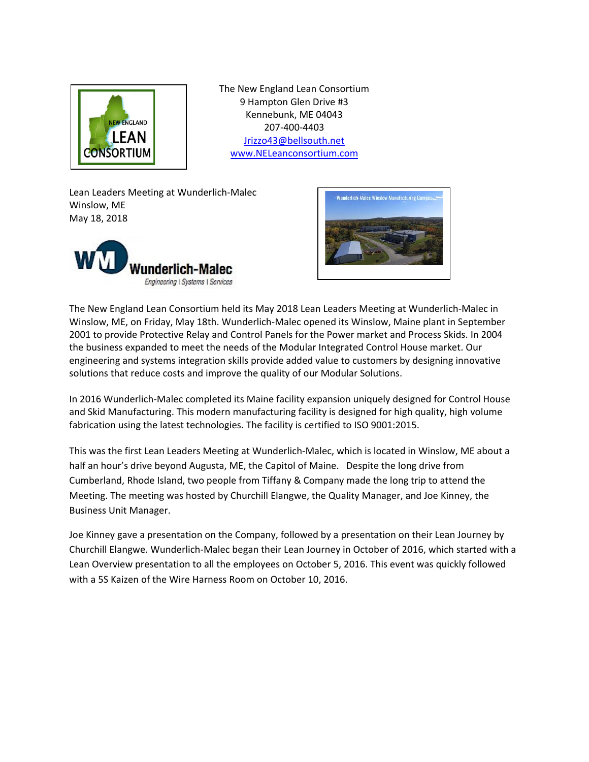

The New England Lean Consortium 9 Hampton Glen Drive #3 Kennebunk, ME 04043 207-400-4403 [Jrizzo43@bellsouth.net](mailto:Jrizzo43@bellsouth.net) [www.NELeanconsortium.com](http://www.neleanconsortium.com/)

Lean Leaders Meeting at Wunderlich-Malec Winslow, ME May 18, 2018





The New England Lean Consortium held its May 2018 Lean Leaders Meeting at Wunderlich-Malec in Winslow, ME, on Friday, May 18th. Wunderlich-Malec opened its Winslow, Maine plant in September 2001 to provide Protective Relay and Control Panels for the Power market and Process Skids. In 2004 the business expanded to meet the needs of the Modular Integrated Control House market. Our engineering and systems integration skills provide added value to customers by designing innovative solutions that reduce costs and improve the quality of our Modular Solutions.

In 2016 Wunderlich-Malec completed its Maine facility expansion uniquely designed for Control House and Skid Manufacturing. This modern manufacturing facility is designed for high quality, high volume fabrication using the latest technologies. The facility is certified to ISO 9001:2015.

This was the first Lean Leaders Meeting at Wunderlich-Malec, which is located in Winslow, ME about a half an hour's drive beyond Augusta, ME, the Capitol of Maine. Despite the long drive from Cumberland, Rhode Island, two people from Tiffany & Company made the long trip to attend the Meeting. The meeting was hosted by Churchill Elangwe, the Quality Manager, and Joe Kinney, the Business Unit Manager.

Joe Kinney gave a presentation on the Company, followed by a presentation on their Lean Journey by Churchill Elangwe. Wunderlich-Malec began their Lean Journey in October of 2016, which started with a Lean Overview presentation to all the employees on October 5, 2016. This event was quickly followed with a 5S Kaizen of the Wire Harness Room on October 10, 2016.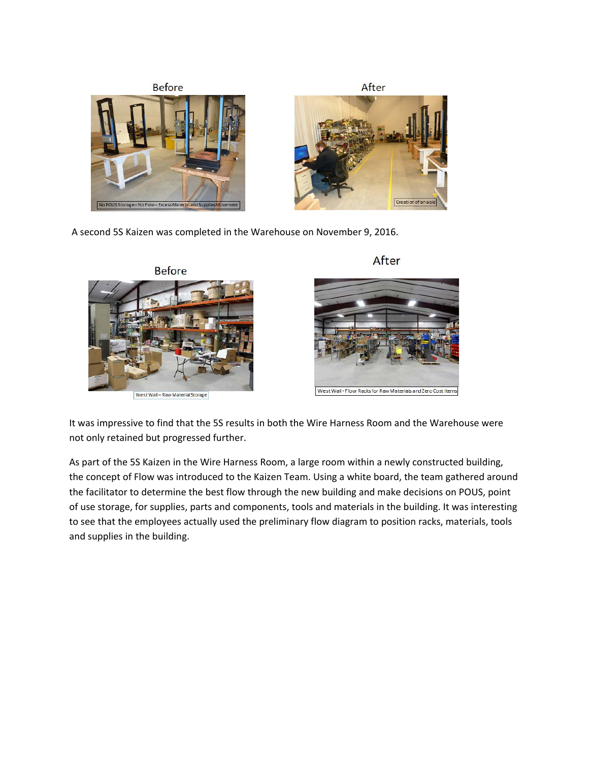

A second 5S Kaizen was completed in the Warehouse on November 9, 2016.







West Wall - Floor Racks for Raw Materials and Zero Cost Items

It was impressive to find that the 5S results in both the Wire Harness Room and the Warehouse were not only retained but progressed further.

As part of the 5S Kaizen in the Wire Harness Room, a large room within a newly constructed building, the concept of Flow was introduced to the Kaizen Team. Using a white board, the team gathered around the facilitator to determine the best flow through the new building and make decisions on POUS, point of use storage, for supplies, parts and components, tools and materials in the building. It was interesting to see that the employees actually used the preliminary flow diagram to position racks, materials, tools and supplies in the building.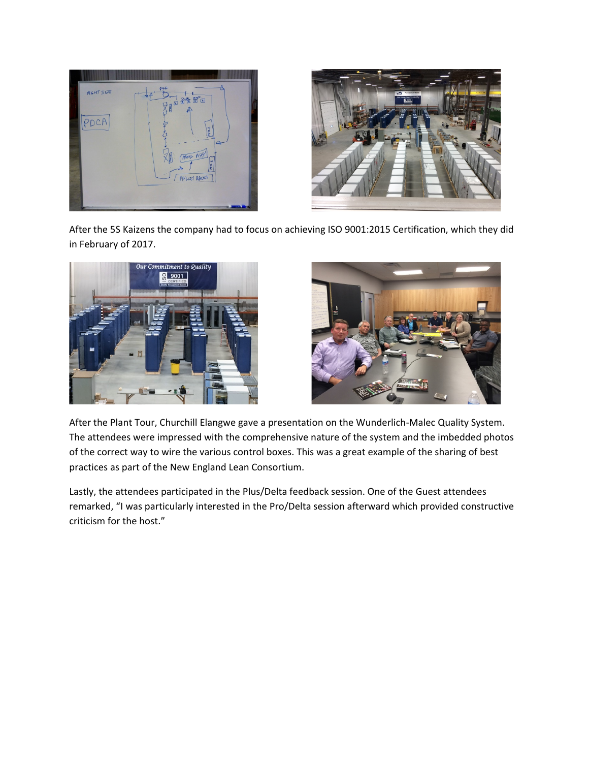



After the 5S Kaizens the company had to focus on achieving ISO 9001:2015 Certification, which they did in February of 2017.





After the Plant Tour, Churchill Elangwe gave a presentation on the Wunderlich-Malec Quality System. The attendees were impressed with the comprehensive nature of the system and the imbedded photos of the correct way to wire the various control boxes. This was a great example of the sharing of best practices as part of the New England Lean Consortium.

Lastly, the attendees participated in the Plus/Delta feedback session. One of the Guest attendees remarked, "I was particularly interested in the Pro/Delta session afterward which provided constructive criticism for the host."